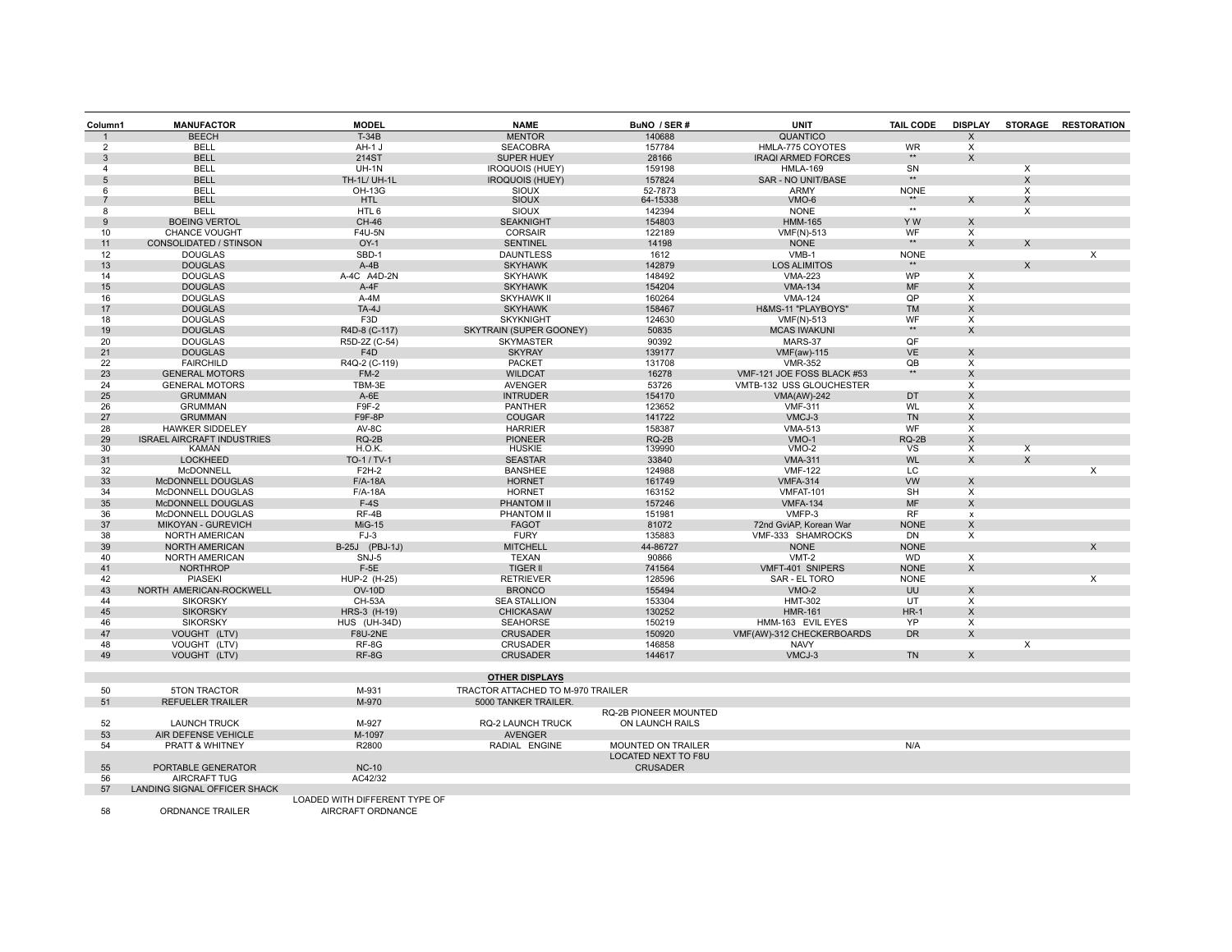| Column1        | <b>MANUFACTOR</b>                         | <b>MODEL</b>                      | <b>NAME</b>                       | BuNO / SER#                                      | <b>UNIT</b>                   | <b>TAIL CODE</b>   | <b>DISPLAY</b>          |                         | STORAGE RESTORATION |
|----------------|-------------------------------------------|-----------------------------------|-----------------------------------|--------------------------------------------------|-------------------------------|--------------------|-------------------------|-------------------------|---------------------|
|                | <b>BEECH</b>                              | $T-34B$                           | <b>MENTOR</b>                     | 140688                                           | QUANTICO                      |                    | X                       |                         |                     |
| $\overline{2}$ | <b>BELL</b>                               | AH-1 J                            | <b>SEACOBRA</b>                   | 157784                                           | HMLA-775 COYOTES              | <b>WR</b>          | X                       |                         |                     |
| 3              | <b>BELL</b>                               | 214ST                             | SUPER HUEY                        | 28166                                            | <b>IRAQI ARMED FORCES</b>     | $\star\star$       | X                       |                         |                     |
| $\overline{4}$ | <b>BELL</b>                               | $UH-1N$                           | <b>IROQUOIS (HUEY)</b>            | 159198                                           | <b>HMLA-169</b>               | SN                 |                         | X                       |                     |
| 5              | <b>BELL</b>                               | TH-1L/ UH-1L                      | <b>IROQUOIS (HUEY)</b>            | 157824                                           | SAR - NO UNIT/BASE            | $**$               |                         | X                       |                     |
| 6              | <b>BELL</b>                               | <b>OH-13G</b>                     | <b>SIOUX</b>                      | 52-7873                                          | <b>ARMY</b>                   | <b>NONE</b>        |                         | X                       |                     |
| 7              | <b>BELL</b>                               | <b>HTL</b>                        | <b>SIOUX</b>                      | 64-15338                                         | VMO-6                         |                    | X                       | X                       |                     |
| 8              | <b>BELL</b>                               | HTL6                              | SIOUX                             | 142394                                           | <b>NONE</b>                   | $\overline{}$      |                         | X                       |                     |
| 9              | <b>BOEING VERTOL</b>                      | <b>CH-46</b>                      | <b>SEAKNIGHT</b>                  | 154803                                           | <b>HMM-165</b>                | Y W                | X                       |                         |                     |
| 10             | <b>CHANCE VOUGHT</b>                      | F4U-5N                            | <b>CORSAIR</b>                    | 122189                                           | <b>VMF(N)-513</b>             | WF                 | Χ                       |                         |                     |
| 11             | <b>CONSOLIDATED / STINSON</b>             | $OY-1$                            | <b>SENTINEL</b>                   | 14198                                            | <b>NONE</b>                   | $\star\star$       | X                       | X                       |                     |
| 12             | <b>DOUGLAS</b>                            | SBD-1                             | <b>DAUNTLESS</b>                  | 1612                                             | VMB-1                         | <b>NONE</b><br>**  |                         |                         | X                   |
| 13             | <b>DOUGLAS</b>                            | $A-4B$                            | <b>SKYHAWK</b>                    | 142879                                           | <b>LOS ALIMITOS</b>           |                    |                         | X                       |                     |
| 14             | <b>DOUGLAS</b>                            | A-4C A4D-2N                       | <b>SKYHAWK</b>                    | 148492                                           | <b>VMA-223</b>                | WP                 | $\times$                |                         |                     |
| 15             | <b>DOUGLAS</b>                            | $A-4F$                            | <b>SKYHAWK</b>                    | 154204                                           | <b>VMA-134</b>                | <b>MF</b>          | X                       |                         |                     |
| 16             | <b>DOUGLAS</b>                            | A-4M                              | <b>SKYHAWK II</b>                 | 160264                                           | <b>VMA-124</b>                | QP                 | X                       |                         |                     |
| 17             | <b>DOUGLAS</b>                            | TA-4J                             | <b>SKYHAWK</b>                    | 158467                                           | H&MS-11 "PLAYBOYS"            | <b>TM</b>          | X                       |                         |                     |
| 18<br>19       | <b>DOUGLAS</b>                            | F <sub>3</sub> D                  | <b>SKYKNIGHT</b>                  | 124630<br>50835                                  | <b>VMF(N)-513</b>             | WF<br>$\star\star$ | X                       |                         |                     |
| 20             | <b>DOUGLAS</b>                            | R4D-8 (C-117)                     | SKYTRAIN (SUPER GOONEY)           |                                                  | <b>MCAS IWAKUNI</b>           | QF                 | X                       |                         |                     |
| 21             | <b>DOUGLAS</b><br><b>DOUGLAS</b>          | R5D-2Z (C-54)<br>F <sub>4</sub> D | <b>SKYMASTER</b><br><b>SKYRAY</b> | 90392<br>139177                                  | MARS-37<br><b>VMF(aw)-115</b> | <b>VE</b>          | X                       |                         |                     |
| 22             | <b>FAIRCHILD</b>                          | R4Q-2 (C-119)                     | PACKET                            | 131708                                           | <b>VMR-352</b>                | QB                 | X                       |                         |                     |
| 23             | <b>GENERAL MOTORS</b>                     | $FM-2$                            | <b>WILDCAT</b>                    | 16278                                            | VMF-121 JOE FOSS BLACK #53    | $**$               | X                       |                         |                     |
| 24             | <b>GENERAL MOTORS</b>                     | TBM-3E                            | <b>AVENGER</b>                    | 53726                                            | VMTB-132 USS GLOUCHESTER      |                    | X                       |                         |                     |
| 25             | <b>GRUMMAN</b>                            | $A-6E$                            | <b>INTRUDER</b>                   | 154170                                           | <b>VMA(AW)-242</b>            | DT                 | X                       |                         |                     |
| 26             | <b>GRUMMAN</b>                            | F9F-2                             | PANTHER                           | 123652                                           | <b>VMF-311</b>                | <b>WL</b>          | Χ                       |                         |                     |
| 27             | <b>GRUMMAN</b>                            | F9F-8P                            | <b>COUGAR</b>                     | 141722                                           | VMCJ-3                        | <b>TN</b>          | X                       |                         |                     |
| 28             | <b>HAWKER SIDDELEY</b>                    | AV-8C                             | <b>HARRIER</b>                    | 158387                                           | <b>VMA-513</b>                | WF                 | X                       |                         |                     |
| 29             | <b>ISRAEL AIRCRAFT INDUSTRIES</b>         | $RQ-2B$                           | <b>PIONEER</b>                    | $RQ-2B$                                          | $VMO-1$                       | RQ-2B              | X                       |                         |                     |
| 30             | <b>KAMAN</b>                              | H.O.K.                            | <b>HUSKIE</b>                     | 139990                                           | $VMO-2$                       | <b>VS</b>          | $\overline{\mathsf{x}}$ | $\overline{\mathsf{x}}$ |                     |
| 31             | <b>LOCKHEED</b>                           | TO-1 / TV-1                       | <b>SEASTAR</b>                    | 33840                                            | <b>VMA-311</b>                | <b>WL</b>          | X                       | X                       |                     |
| 32             | McDONNELL                                 | F2H-2                             | <b>BANSHEE</b>                    | 124988                                           | <b>VMF-122</b>                | LC                 |                         |                         | X                   |
| 33             | <b>McDONNELL DOUGLAS</b>                  | $F/A-18A$                         | <b>HORNET</b>                     | 161749                                           | <b>VMFA-314</b>               | <b>VW</b>          | X                       |                         |                     |
| 34             | McDONNELL DOUGLAS                         | $F/A-18A$                         | <b>HORNET</b>                     | 163152                                           | VMFAT-101                     | <b>SH</b>          | X                       |                         |                     |
| 35             | McDONNELL DOUGLAS                         | $F-4S$                            | PHANTOM II                        | 157246                                           | <b>VMFA-134</b>               | <b>MF</b>          | X                       |                         |                     |
| 36             | McDONNELL DOUGLAS                         | $RF-4B$                           | PHANTOM II                        | 151981                                           | VMFP-3                        | <b>RF</b>          | $\mathsf{x}$            |                         |                     |
| 37             | MIKOYAN - GUREVICH                        | <b>MiG-15</b>                     | <b>FAGOT</b>                      | 81072                                            | 72nd GviAP, Korean War        | <b>NONE</b>        | X                       |                         |                     |
| 38             | <b>NORTH AMERICAN</b>                     | $FJ-3$                            | <b>FURY</b>                       | 135883                                           | VMF-333 SHAMROCKS             | <b>DN</b>          | X                       |                         |                     |
| 39             | <b>NORTH AMERICAN</b>                     | B-25J (PBJ-1J)                    | <b>MITCHELL</b>                   | 44-86727                                         | <b>NONE</b>                   | <b>NONE</b>        |                         |                         | X                   |
| 40             | <b>NORTH AMERICAN</b>                     | SNJ-5                             | TEXAN                             | 90866                                            | $VMT-2$                       | <b>WD</b>          | $\times$                |                         |                     |
| 41             | <b>NORTHROP</b>                           | $F-5E$                            | <b>TIGER II</b>                   | 741564                                           | VMFT-401 SNIPERS              | <b>NONE</b>        | $\mathsf{X}$            |                         |                     |
| 42             | <b>PIASEKI</b>                            | HUP-2 (H-25)                      | <b>RETRIEVER</b>                  | 128596                                           | SAR - EL TORO                 | <b>NONE</b>        |                         |                         | X                   |
| 43             | NORTH AMERICAN-ROCKWELL                   | <b>OV-10D</b>                     | <b>BRONCO</b>                     | 155494                                           | $VMO-2$                       | UU                 | X                       |                         |                     |
| 44             | <b>SIKORSKY</b>                           | <b>CH-53A</b>                     | <b>SEA STALLION</b>               | 153304                                           | <b>HMT-302</b>                | UT                 | X                       |                         |                     |
| 45             | <b>SIKORSKY</b>                           | HRS-3 (H-19)                      | <b>CHICKASAW</b>                  | 130252                                           | <b>HMR-161</b>                | $HR-1$             | X                       |                         |                     |
| 46             | <b>SIKORSKY</b>                           | HUS (UH-34D)                      | <b>SEAHORSE</b>                   | 150219                                           | HMM-163 EVIL EYES             | YP                 | $\times$                |                         |                     |
| 47             | VOUGHT (LTV)                              | <b>F8U-2NE</b>                    | <b>CRUSADER</b>                   | 150920                                           | VMF(AW)-312 CHECKERBOARDS     | <b>DR</b>          | X                       |                         |                     |
| 48             | VOUGHT (LTV)                              | RF-8G                             | <b>CRUSADER</b>                   | 146858                                           | <b>NAVY</b>                   |                    |                         | $\overline{\mathsf{x}}$ |                     |
| 49             | VOUGHT (LTV)                              | RF-8G                             | <b>CRUSADER</b>                   | 144617                                           | VMCJ-3                        | <b>TN</b>          | X                       |                         |                     |
|                |                                           |                                   |                                   |                                                  |                               |                    |                         |                         |                     |
|                |                                           |                                   | <b>OTHER DISPLAYS</b>             |                                                  |                               |                    |                         |                         |                     |
| 50             | <b>5TON TRACTOR</b>                       | M-931                             | TRACTOR ATTACHED TO M-970 TRAILER |                                                  |                               |                    |                         |                         |                     |
| 51             | <b>REFUELER TRAILER</b>                   | M-970                             | 5000 TANKER TRAILER.              | <b>RQ-2B PIONEER MOUNTED</b>                     |                               |                    |                         |                         |                     |
|                |                                           |                                   |                                   |                                                  |                               |                    |                         |                         |                     |
| 52             | <b>LAUNCH TRUCK</b>                       | M-927                             | RQ-2 LAUNCH TRUCK                 | ON LAUNCH RAILS                                  |                               |                    |                         |                         |                     |
| 53             | AIR DEFENSE VEHICLE                       | M-1097                            | <b>AVENGER</b>                    |                                                  |                               |                    |                         |                         |                     |
| 54             | PRATT & WHITNEY                           | R2800                             | RADIAL ENGINE                     | <b>MOUNTED ON TRAILER</b><br>LOCATED NEXT TO F8U |                               | N/A                |                         |                         |                     |
|                |                                           |                                   |                                   |                                                  |                               |                    |                         |                         |                     |
| 55             | PORTABLE GENERATOR<br><b>AIRCRAFT TUG</b> | <b>NC-10</b><br>AC42/32           |                                   | <b>CRUSADER</b>                                  |                               |                    |                         |                         |                     |
| 56<br>57       | LANDING SIGNAL OFFICER SHACK              |                                   |                                   |                                                  |                               |                    |                         |                         |                     |
|                |                                           | LOADED WITH DIFFERENT TYPE OF     |                                   |                                                  |                               |                    |                         |                         |                     |
| 58             | <b>ORDNANCE TRAILER</b>                   | AIRCRAFT ORDNANCE                 |                                   |                                                  |                               |                    |                         |                         |                     |
|                |                                           |                                   |                                   |                                                  |                               |                    |                         |                         |                     |